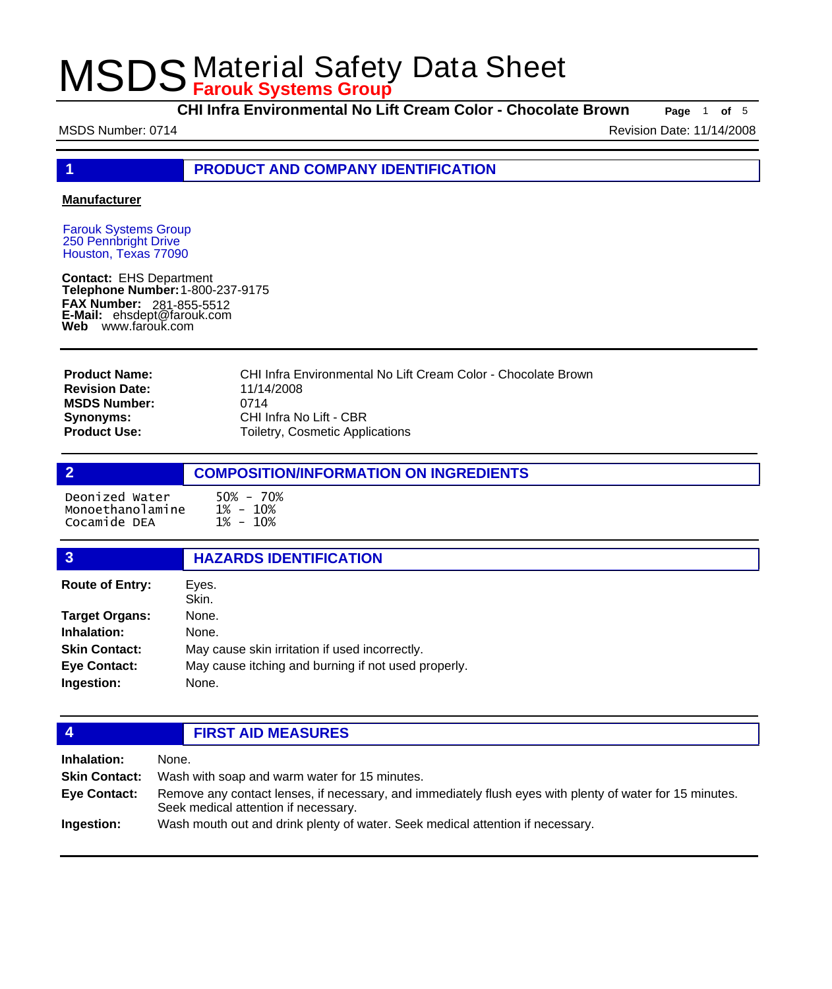**CHI Infra Environmental No Lift Cream Color - Chocolate Brown Page** <sup>1</sup> **of** <sup>5</sup>

MSDS Number: 0714 **Revision Date: 11/14/2008** Revision Date: 11/14/2008

**1 PRODUCT AND COMPANY IDENTIFICATION**

#### **Manufacturer**

Farouk Systems Group 250 Pennbright Drive Houston, Texas 77090

**Contact:** EHS Department **Telephone Number:** 1-800-237-9175 **FAX Number: FAX Number:** 281-855-5512<br>**E-Mail:** ehsdept@farouk.com **Web** www.farouk.com

| <b>Product Name:</b>  | CHI Infra Environmental No Lift Cream Color - Chocolate Brown |
|-----------------------|---------------------------------------------------------------|
| <b>Revision Date:</b> | 11/14/2008                                                    |
| <b>MSDS Number:</b>   | 0714                                                          |
| Synonyms:             | CHI Infra No Lift - CBR                                       |
| <b>Product Use:</b>   | Toiletry, Cosmetic Applications                               |

### **2 COMPOSITION/INFORMATION ON INGREDIENTS** Deonized Water 50% - 70%<br>Monoethanolamine 1% - 10%<br>Cocamide DEA 1% - 10% Monoethanolamine Cocamide DEA

| $\overline{3}$         | <b>HAZARDS IDENTIFICATION</b>                       |  |
|------------------------|-----------------------------------------------------|--|
| <b>Route of Entry:</b> | Eyes.<br>Skin.                                      |  |
| <b>Target Organs:</b>  | None.                                               |  |
| Inhalation:            | None.                                               |  |
| <b>Skin Contact:</b>   | May cause skin irritation if used incorrectly.      |  |
| <b>Eye Contact:</b>    | May cause itching and burning if not used properly. |  |
| Ingestion:             | None.                                               |  |

### **4 FIRST AID MEASURES**

| Inhalation:          | None.                                                                                                                                            |
|----------------------|--------------------------------------------------------------------------------------------------------------------------------------------------|
| <b>Skin Contact:</b> | Wash with soap and warm water for 15 minutes.                                                                                                    |
| <b>Eve Contact:</b>  | Remove any contact lenses, if necessary, and immediately flush eyes with plenty of water for 15 minutes.<br>Seek medical attention if necessary. |
| Ingestion:           | Wash mouth out and drink plenty of water. Seek medical attention if necessary.                                                                   |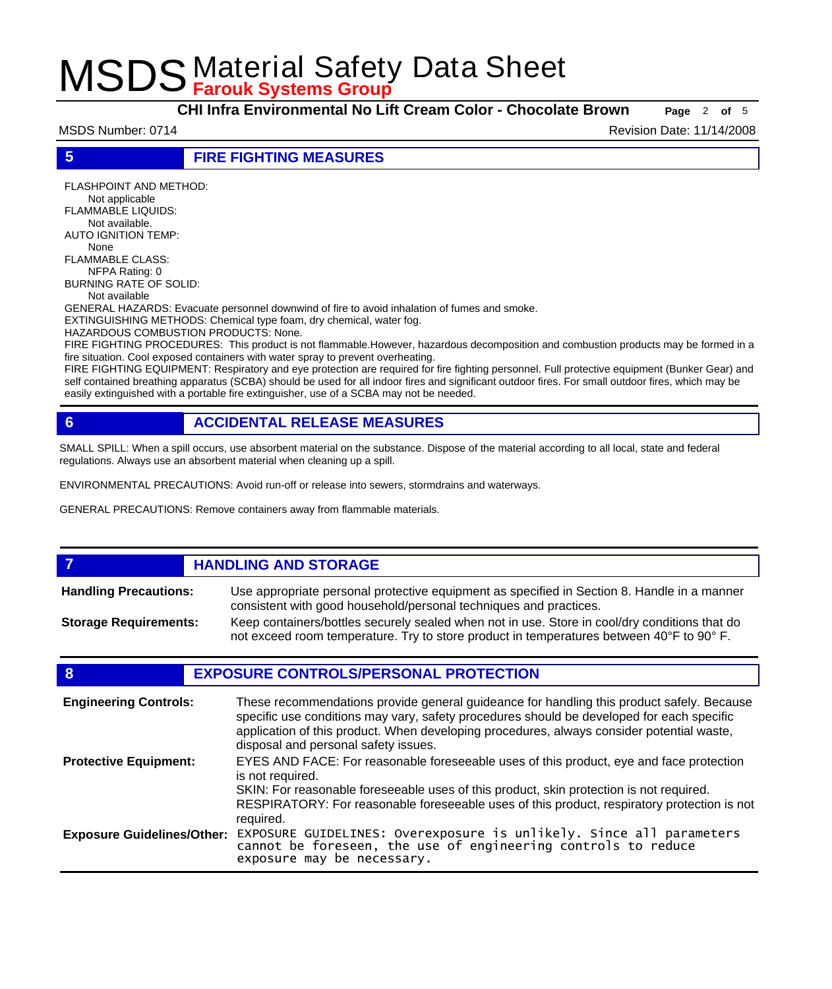**CHI Infra Environmental No Lift Cream Color - Chocolate Brown Page** <sup>2</sup> **of** <sup>5</sup>

MSDS Number: 0714 **Revision Date: 11/14/2008** Revision Date: 11/14/2008

**5 FIRE FIGHTING MEASURES**

FLASHPOINT AND METHOD: Not applicable FLAMMABLE LIQUIDS: Not available. AUTO IGNITION TEMP: None FLAMMABLE CLASS: NFPA Rating: 0 BURNING RATE OF SOLID: Not available GENERAL HAZARDS: Evacuate personnel downwind of fire to avoid inhalation of fumes and smoke. EXTINGUISHING METHODS: Chemical type foam, dry chemical, water fog. HAZARDOUS COMBUSTION PRODUCTS: None. FIRE FIGHTING PROCEDURES: This product is not flammable.However, hazardous decomposition and combustion products may be formed in a fire situation. Cool exposed containers with water spray to prevent overheating.

FIRE FIGHTING EQUIPMENT: Respiratory and eye protection are required for fire fighting personnel. Full protective equipment (Bunker Gear) and self contained breathing apparatus (SCBA) should be used for all indoor fires and significant outdoor fires. For small outdoor fires, which may be easily extinguished with a portable fire extinguisher, use of a SCBA may not be needed.

### **6 ACCIDENTAL RELEASE MEASURES**

SMALL SPILL: When a spill occurs, use absorbent material on the substance. Dispose of the material according to all local, state and federal regulations. Always use an absorbent material when cleaning up a spill.

ENVIRONMENTAL PRECAUTIONS: Avoid run-off or release into sewers, stormdrains and waterways.

GENERAL PRECAUTIONS: Remove containers away from flammable materials.

#### *HANDLING AND STORAGE* Use appropriate personal protective equipment as specified in Section 8. Handle in a manner consistent with good household/personal techniques and practices. **Handling Precautions:** Keep containers/bottles securely sealed when not in use. Store in cool/dry conditions that do not exceed room temperature. Try to store product in temperatures between 40°F to 90° F. **Storage Requirements:**

### **8 EXPOSURE CONTROLS/PERSONAL PROTECTION**

| <b>Engineering Controls:</b>      | These recommendations provide general guideance for handling this product safely. Because<br>specific use conditions may vary, safety procedures should be developed for each specific<br>application of this product. When developing procedures, always consider potential waste,<br>disposal and personal safety issues. |
|-----------------------------------|-----------------------------------------------------------------------------------------------------------------------------------------------------------------------------------------------------------------------------------------------------------------------------------------------------------------------------|
| <b>Protective Equipment:</b>      | EYES AND FACE: For reasonable foreseeable uses of this product, eye and face protection<br>is not required.<br>SKIN: For reasonable foreseeable uses of this product, skin protection is not required.<br>RESPIRATORY: For reasonable foreseeable uses of this product, respiratory protection is not<br>required.          |
| <b>Exposure Guidelines/Other:</b> | EXPOSURE GUIDELINES: Overexposure is unlikely. Since all parameters cannot be foreseen, the use of engineering controls to reduce<br>exposure may be necessary.                                                                                                                                                             |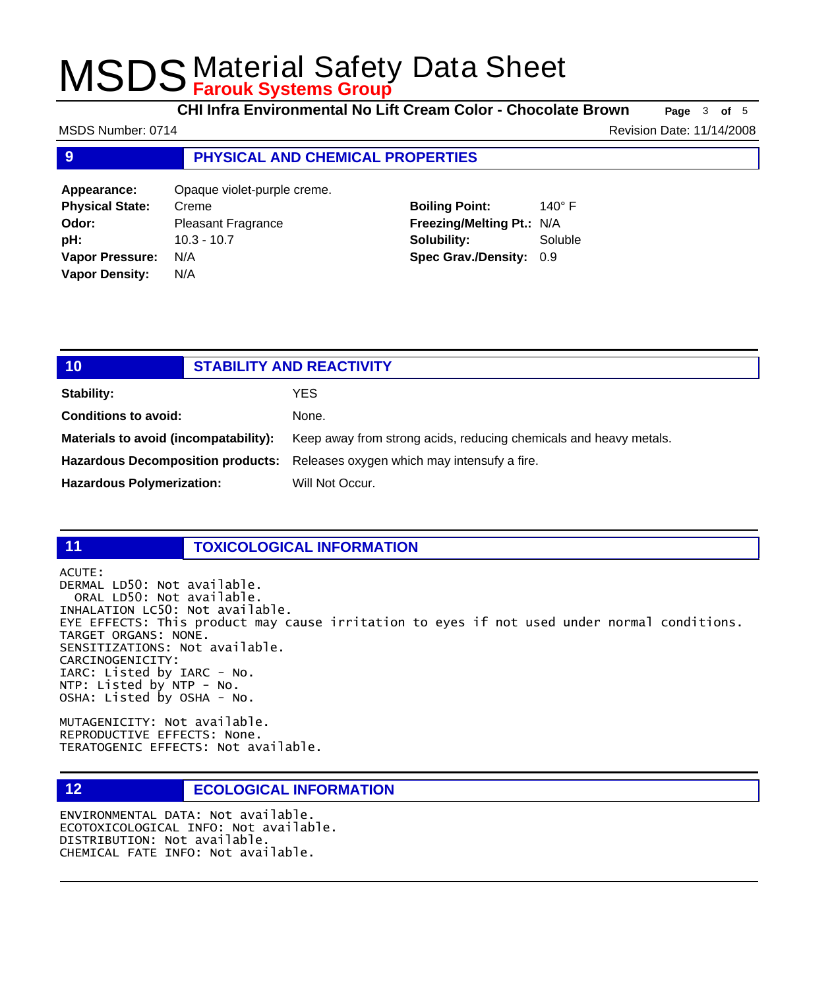**CHI Infra Environmental No Lift Cream Color - Chocolate Brown Page** <sup>3</sup> **of** <sup>5</sup>

**9 PHYSICAL AND CHEMICAL PROPERTIES Appearance:** Opaque violet-purple creme. **Physical State:** Creme **Boiling Point:** 140° F MSDS Number: 0714 **Revision Date: 11/14/2008** Revision Date: 11/14/2008

**Odor:** Pleasant Fragrance **pH:** 10.3 - 10.7 **Vapor Pressure:** N/A **Vapor Density:** N/A **Freezing/Melting Pt.:** N/A **Solubility:** Soluble **Spec Grav./Density:** 0.9

| 10                                    | <b>STABILITY AND REACTIVITY</b> |                                                                               |
|---------------------------------------|---------------------------------|-------------------------------------------------------------------------------|
| Stability:                            |                                 | <b>YES</b>                                                                    |
| <b>Conditions to avoid:</b>           |                                 | None.                                                                         |
| Materials to avoid (incompatability): |                                 | Keep away from strong acids, reducing chemicals and heavy metals.             |
|                                       |                                 | Hazardous Decomposition products: Releases oxygen which may intensufy a fire. |
| <b>Hazardous Polymerization:</b>      |                                 | Will Not Occur.                                                               |
|                                       |                                 |                                                                               |

### **11 TOXICOLOGICAL INFORMATION**

ACUTE:

DERMAL LD50: Not available. ORAL LD50: Not available. INHALATION LC50: Not available. EYE EFFECTS: This product may cause irritation to eyes if not used under normal conditions. TARGET ORGANS: NONE. SENSITIZATIONS: Not available. CARCINOGENICITY: IARC: Listed by IARC - No. NTP: Listed by NTP - No. OSHA: Listed by OSHA - No.

MUTAGENICITY: Not available. REPRODUCTIVE EFFECTS: None. TERATOGENIC EFFECTS: Not available.

### **12 ECOLOGICAL INFORMATION**

ENVIRONMENTAL DATA: Not available. ECOTOXICOLOGICAL INFO: Not available. DISTRIBUTION: Not available. CHEMICAL FATE INFO: Not available.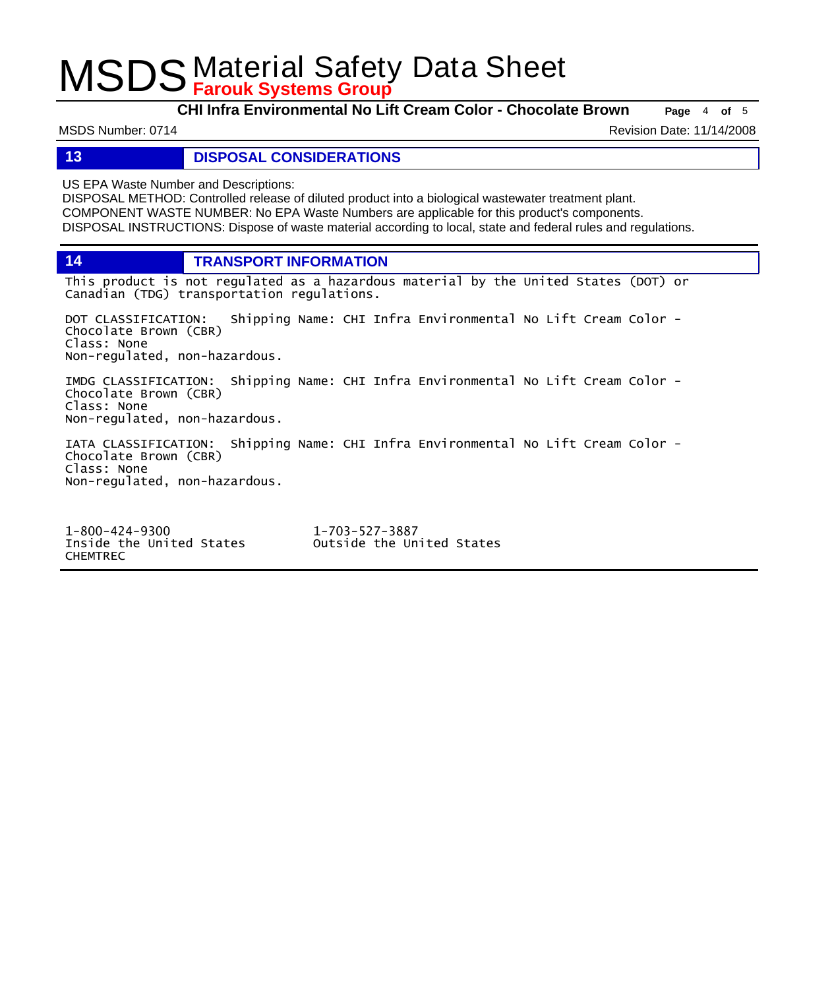**CHI Infra Environmental No Lift Cream Color - Chocolate Brown Page** <sup>4</sup> **of** <sup>5</sup>

MSDS Number: 0714 **Revision Date: 11/14/2008** Revision Date: 11/14/2008

### **13 DISPOSAL CONSIDERATIONS**

US EPA Waste Number and Descriptions:

DISPOSAL METHOD: Controlled release of diluted product into a biological wastewater treatment plant. COMPONENT WASTE NUMBER: No EPA Waste Numbers are applicable for this product's components. DISPOSAL INSTRUCTIONS: Dispose of waste material according to local, state and federal rules and regulations.

**14 TRANSPORT INFORMATION**

This product is not regulated as a hazardous material by the United States (DOT) or Canadian (TDG) transportation regulations.

DOT CLASSIFICATION: Shipping Name: CHI Infra Environmental No Lift Cream Color - Chocolate Brown (CBR) Class: None Non-regulated, non-hazardous.

IMDG CLASSIFICATION: Shipping Name: CHI Infra Environmental No Lift Cream Color - Chocolate Brown (CBR) Class: None Non-regulated, non-hazardous.

IATA CLASSIFICATION: Shipping Name: CHI Infra Environmental No Lift Cream Color - Chocolate Brown (CBR) Class: None Non-regulated, non-hazardous.

1-800-424-9300 1-703-527-3887 CHEMTREC

Outside the United States